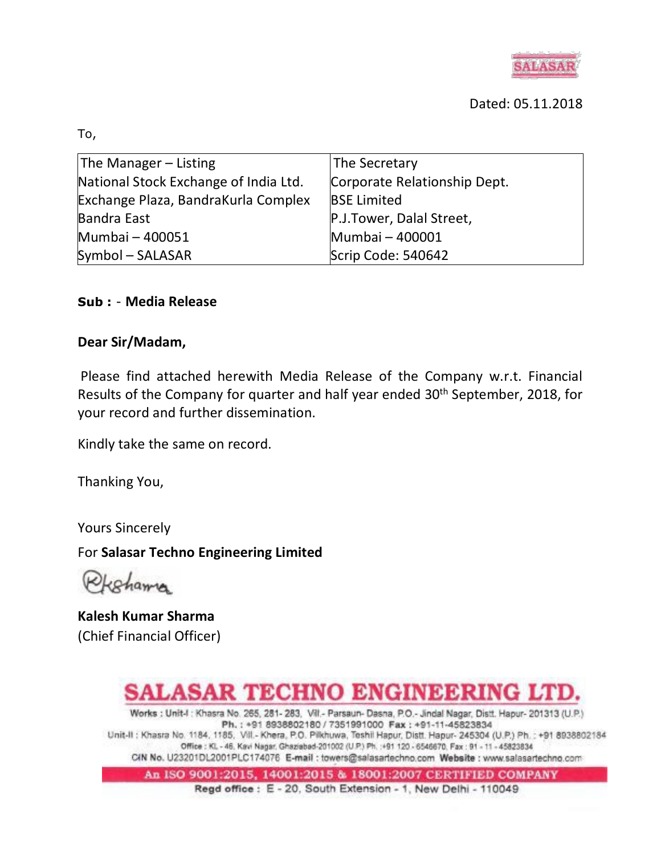

#### Dated: 05.11.2018

To,

| The Manager $-$ Listing               | The Secretary                |
|---------------------------------------|------------------------------|
| National Stock Exchange of India Ltd. | Corporate Relationship Dept. |
| Exchange Plaza, BandraKurla Complex   | <b>BSE Limited</b>           |
| <b>Bandra East</b>                    | P.J.Tower, Dalal Street,     |
| Mumbai - 400051                       | Mumbai - 400001              |
| Symbol - SALASAR                      | Scrip Code: 540642           |

#### **Sub :** - **Media Release**

#### **Dear Sir/Madam,**

Please find attached herewith Media Release of the Company w.r.t. Financial Results of the Company for quarter and half year ended 30<sup>th</sup> September, 2018, for your record and further dissemination.

Kindly take the same on record.

Thanking You,

Yours Sincerely

For **Salasar Techno Engineering Limited**

cohama

**Kalesh Kumar Sharma** (Chief Financial Officer)

# SALASAR TECHNO ENGINEERING LTD.

Works : Unit-I : Khasra No. 265, 281- 283, Vill .- Parsaun- Dasna, P.O.- Jindal Nagar, Distt. Hapur- 201313 (U.P.) Ph.: +91 8938802180 / 7351991000 Fax: +91-11-45823834 Unit-II : Khasra No. 1184, 1185, Vill - Khera, P.O. Pilkhuwa, Teshil Hapur, Distt. Hapur- 245304 (U.P.) Ph. : +91 8938802184 Office: Kl. - 46, Kavi Nagar, Ghaziabad-201002 (U.P.) Ph. :+91 120 - 6546670, Fax: 91 - 11 - 45823834 CIN No. U23201DL2001PLC174076 E-mail : towers@salasartechno.com Website : www.salasartechno.com

An ISO 9001:2015, 14001:2015 & 18001:2007 CERTIFIED COMPANY

Regd office: E - 20, South Extension - 1, New Delhi - 110049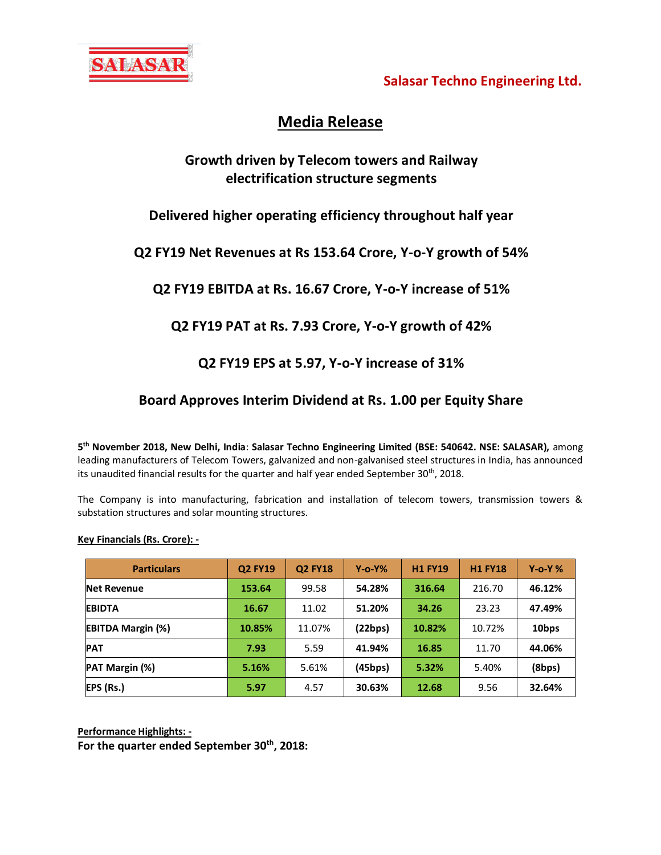

**Salasar Techno Engineering Ltd.**

## **Media Release**

## **Growth driven by Telecom towers and Railway electrification structure segments**

## **Delivered higher operating efficiency throughout half year**

#### **Q2 FY19 Net Revenues at Rs 153.64 Crore, Y-o-Y growth of 54%**

## **Q2 FY19 EBITDA at Rs. 16.67 Crore, Y-o-Y increase of 51%**

## **Q2 FY19 PAT at Rs. 7.93 Crore, Y-o-Y growth of 42%**

## **Q2 FY19 EPS at 5.97, Y-o-Y increase of 31%**

## **Board Approves Interim Dividend at Rs. 1.00 per Equity Share**

**5 th November 2018, New Delhi, India**: **Salasar Techno Engineering Limited (BSE: 540642. NSE: SALASAR),** among leading manufacturers of Telecom Towers, galvanized and non-galvanised steel structures in India, has announced its unaudited financial results for the quarter and half year ended September  $30<sup>th</sup>$ , 2018.

The Company is into manufacturing, fabrication and installation of telecom towers, transmission towers & substation structures and solar mounting structures.

#### **Key Financials (Rs. Crore): -**

| <b>Particulars</b>       | <b>Q2 FY19</b> | <b>Q2 FY18</b> | $Y$ -0- $Y\%$ | <b>H1 FY19</b> | <b>H1 FY18</b> | $Y$ -o-Y % |
|--------------------------|----------------|----------------|---------------|----------------|----------------|------------|
| <b>Net Revenue</b>       | 153.64         | 99.58          | 54.28%        | 316.64         | 216.70         | 46.12%     |
| <b>EBIDTA</b>            | 16.67          | 11.02          | 51.20%        | 34.26          | 23.23          | 47.49%     |
| <b>EBITDA Margin (%)</b> | 10.85%         | 11.07%         | (22bps)       | 10.82%         | 10.72%         | 10bps      |
| <b>PAT</b>               | 7.93           | 5.59           | 41.94%        | 16.85          | 11.70          | 44.06%     |
| PAT Margin (%)           | 5.16%          | 5.61%          | (45bps)       | 5.32%          | 5.40%          | (8bps)     |
| EPS (Rs.)                | 5.97           | 4.57           | 30.63%        | 12.68          | 9.56           | 32.64%     |

**Performance Highlights: -**

**For the quarter ended September 30th, 2018:**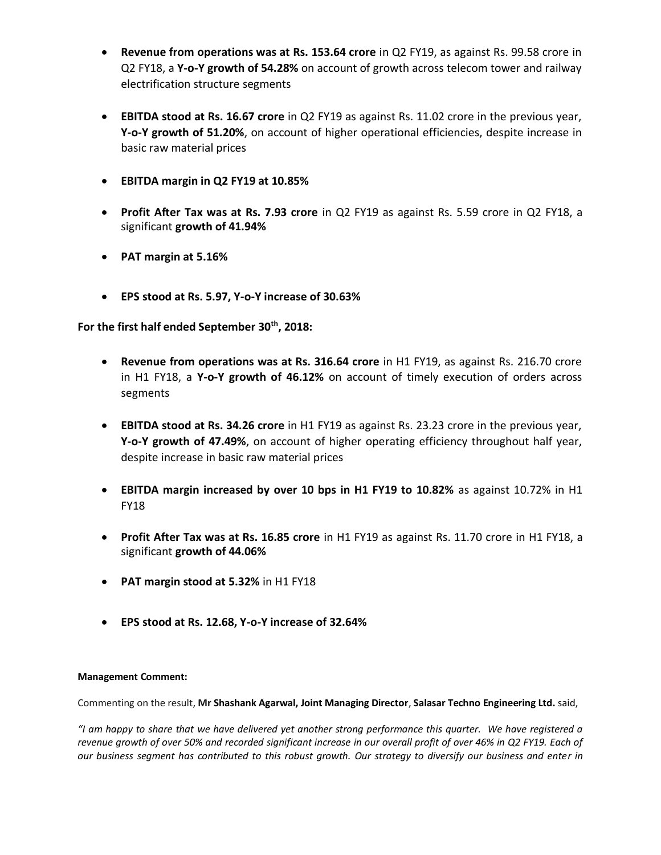- **Revenue from operations was at Rs. 153.64 crore** in Q2 FY19, as against Rs. 99.58 crore in Q2 FY18, a **Y-o-Y growth of 54.28%** on account of growth across telecom tower and railway electrification structure segments
- **EBITDA stood at Rs. 16.67 crore** in Q2 FY19 as against Rs. 11.02 crore in the previous year, **Y-o-Y growth of 51.20%**, on account of higher operational efficiencies, despite increase in basic raw material prices
- **EBITDA margin in Q2 FY19 at 10.85%**
- **Profit After Tax was at Rs. 7.93 crore** in Q2 FY19 as against Rs. 5.59 crore in Q2 FY18, a significant **growth of 41.94%**
- **PAT margin at 5.16%**
- **EPS stood at Rs. 5.97, Y-o-Y increase of 30.63%**

**For the first half ended September 30th, 2018:** 

- **Revenue from operations was at Rs. 316.64 crore** in H1 FY19, as against Rs. 216.70 crore in H1 FY18, a **Y-o-Y growth of 46.12%** on account of timely execution of orders across segments
- **EBITDA stood at Rs. 34.26 crore** in H1 FY19 as against Rs. 23.23 crore in the previous year, **Y-o-Y growth of 47.49%**, on account of higher operating efficiency throughout half year, despite increase in basic raw material prices
- **EBITDA margin increased by over 10 bps in H1 FY19 to 10.82%** as against 10.72% in H1 FY18
- **Profit After Tax was at Rs. 16.85 crore** in H1 FY19 as against Rs. 11.70 crore in H1 FY18, a significant **growth of 44.06%**
- **PAT margin stood at 5.32%** in H1 FY18
- **EPS stood at Rs. 12.68, Y-o-Y increase of 32.64%**

#### **Management Comment:**

Commenting on the result, **Mr Shashank Agarwal, Joint Managing Director**, **Salasar Techno Engineering Ltd.** said,

*"I am happy to share that we have delivered yet another strong performance this quarter. We have registered a*  revenue growth of over 50% and recorded significant increase in our overall profit of over 46% in Q2 FY19. Each of *our business segment has contributed to this robust growth. Our strategy to diversify our business and enter in*